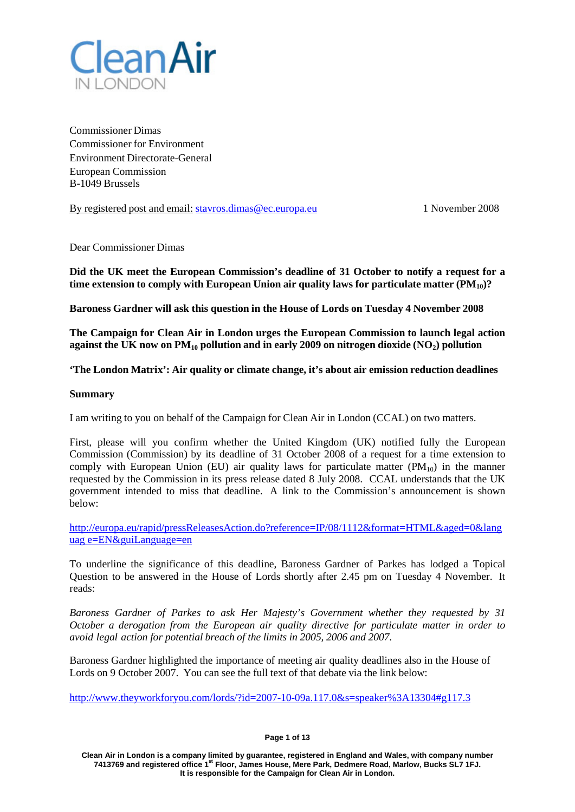

Commissioner Dimas Commissioner for Environment Environment Directorate-General European Commission B-1049 Brussels

By registered post and email: [stavros.dimas@ec.europa.eu](mailto:stavros.dimas@ec.europa.eu) 1 November 2008

Dear Commissioner Dimas

**Did the UK meet the European Commission's deadline of 31 October to notify a request for a time extension to comply with European Union air quality laws for particulate matter (PM10)?**

**Baroness Gardner will ask this question in the House of Lords on Tuesday 4 November 2008**

**The Campaign for Clean Air in London urges the European Commission to launch legal action against the UK now on PM10 pollution and in early 2009 on nitrogen dioxide (NO2) pollution**

**'The London Matrix': Air quality or climate change, it's about air emission reduction deadlines**

### **Summary**

I am writing to you on behalf of the Campaign for Clean Air in London (CCAL) on two matters.

First, please will you confirm whether the United Kingdom (UK) notified fully the European Commission (Commission) by its deadline of 31 October 2008 of a request for a time extension to comply with European Union (EU) air quality laws for particulate matter  $(PM_{10})$  in the manner requested by the Commission in its press release dated 8 July 2008. CCAL understands that the UK government intended to miss that deadline. A link to the Commission's announcement is shown below:

[http://europa.eu/rapid/pressReleasesAction.do?reference=IP/08/1112&format=HTML&aged=0&lang](http://europa.eu/rapid/pressReleasesAction.do?reference=IP/08/1112&format=HTML&aged=0&languag%20e=EN&guiLanguage=en) uag [e=EN&guiLanguage=en](http://europa.eu/rapid/pressReleasesAction.do?reference=IP/08/1112&format=HTML&aged=0&languag%20e=EN&guiLanguage=en)

To underline the significance of this deadline, Baroness Gardner of Parkes has lodged a Topical Question to be answered in the House of Lords shortly after 2.45 pm on Tuesday 4 November. It reads:

*Baroness Gardner of Parkes to ask Her Majesty's Government whether they requested by 31 October a derogation from the European air quality directive for particulate matter in order to avoid legal action for potential breach of the limits in 2005, 2006 and 2007.*

Baroness Gardner highlighted the importance of meeting air quality deadlines also in the House of Lords on 9 October 2007. You can see the full text of that debate via the link below:

[http://www.theyworkforyou.com/lords/?id=2007-10-09a.117.0&s=speaker%3A13304#g117.3](http://www.theyworkforyou.com/lords/?id=2007-10-09a.117.0&s=speaker%3A13304&g117.3)

**Page 1 of 13**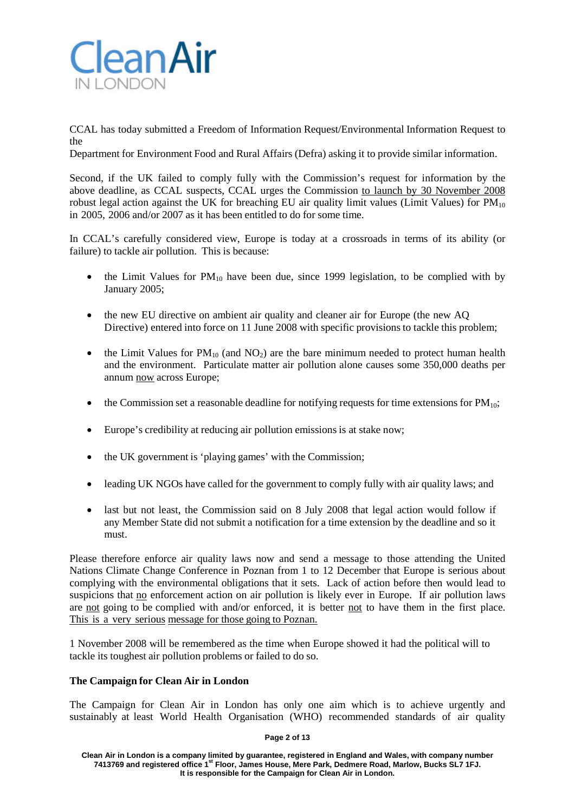

CCAL has today submitted a Freedom of Information Request/Environmental Information Request to the

Department for Environment Food and Rural Affairs (Defra) asking it to provide similar information.

Second, if the UK failed to comply fully with the Commission's request for information by the above deadline, as CCAL suspects, CCAL urges the Commission to launch by 30 November 2008 robust legal action against the UK for breaching EU air quality limit values (Limit Values) for  $PM_{10}$ in 2005, 2006 and/or 2007 as it has been entitled to do for some time.

In CCAL's carefully considered view, Europe is today at a crossroads in terms of its ability (or failure) to tackle air pollution. This is because:

- the Limit Values for  $PM_{10}$  have been due, since 1999 legislation, to be complied with by January 2005;
- the new EU directive on ambient air quality and cleaner air for Europe (the new AQ Directive) entered into force on 11 June 2008 with specific provisions to tackle this problem;
- the Limit Values for  $PM_{10}$  (and  $NO_2$ ) are the bare minimum needed to protect human health and the environment. Particulate matter air pollution alone causes some 350,000 deaths per annum now across Europe;
- the Commission set a reasonable deadline for notifying requests for time extensions for  $PM_{10}$ ;
- Europe's credibility at reducing air pollution emissions is at stake now:
- the UK government is 'playing games' with the Commission;
- leading UK NGOs have called for the government to comply fully with air quality laws; and
- last but not least, the Commission said on 8 July 2008 that legal action would follow if any Member State did not submit a notification for a time extension by the deadline and so it must.

Please therefore enforce air quality laws now and send a message to those attending the United Nations Climate Change Conference in Poznan from 1 to 12 December that Europe is serious about complying with the environmental obligations that it sets. Lack of action before then would lead to suspicions that no enforcement action on air pollution is likely ever in Europe. If air pollution laws are not going to be complied with and/or enforced, it is better not to have them in the first place. This is a very serious message for those going to Poznan.

1 November 2008 will be remembered as the time when Europe showed it had the political will to tackle its toughest air pollution problems or failed to do so.

## **The Campaign for Clean Air in London**

The Campaign for Clean Air in London has only one aim which is to achieve urgently and sustainably at least World Health Organisation (WHO) recommended standards of air quality

### **Page 2 of 13**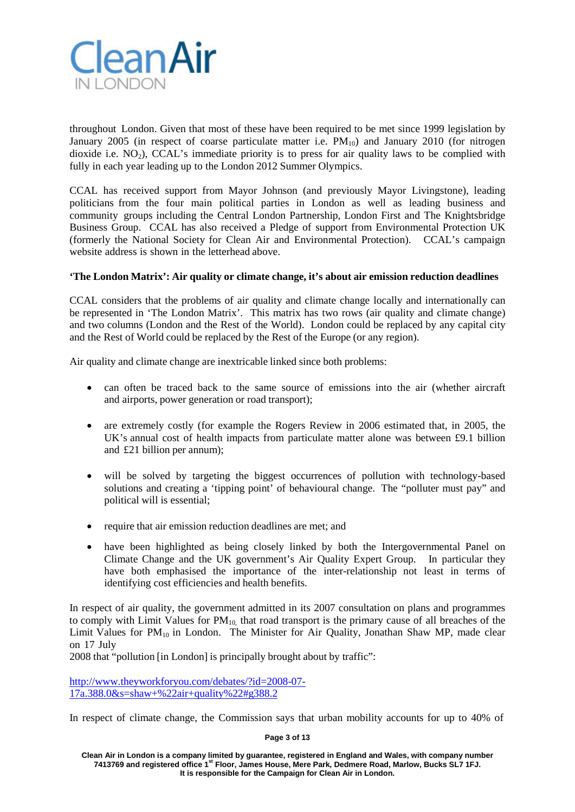

throughout London. Given that most of these have been required to be met since 1999 legislation by January 2005 (in respect of coarse particulate matter i.e.  $PM_{10}$ ) and January 2010 (for nitrogen dioxide i.e.  $NO<sub>2</sub>$ ), CCAL's immediate priority is to press for air quality laws to be complied with fully in each year leading up to the London 2012 Summer Olympics.

CCAL has received support from Mayor Johnson (and previously Mayor Livingstone), leading politicians from the four main political parties in London as well as leading business and community groups including the Central London Partnership, London First and The Knightsbridge Business Group. CCAL has also received a Pledge of support from Environmental Protection UK (formerly the National Society for Clean Air and Environmental Protection). CCAL's campaign website address is shown in the letterhead above.

# **'The London Matrix': Air quality or climate change, it's about air emission reduction deadlines**

CCAL considers that the problems of air quality and climate change locally and internationally can be represented in 'The London Matrix'. This matrix has two rows (air quality and climate change) and two columns (London and the Rest of the World). London could be replaced by any capital city and the Rest of World could be replaced by the Rest of the Europe (or any region).

Air quality and climate change are inextricable linked since both problems:

- can often be traced back to the same source of emissions into the air (whether aircraft and airports, power generation or road transport);
- are extremely costly (for example the Rogers Review in 2006 estimated that, in 2005, the UK's annual cost of health impacts from particulate matter alone was between £9.1 billion and £21 billion per annum);
- will be solved by targeting the biggest occurrences of pollution with technology-based solutions and creating a 'tipping point' of behavioural change. The "polluter must pay" and political will is essential;
- require that air emission reduction deadlines are met; and
- have been highlighted as being closely linked by both the Intergovernmental Panel on Climate Change and the UK government's Air Quality Expert Group. In particular they have both emphasised the importance of the inter-relationship not least in terms of identifying cost efficiencies and health benefits.

In respect of air quality, the government admitted in its 2007 consultation on plans and programmes to comply with Limit Values for  $PM_{10}$ , that road transport is the primary cause of all breaches of the Limit Values for  $PM_{10}$  in London. The Minister for Air Quality, Jonathan Shaw MP, made clear on 17 July

2008 that "pollution [in London] is principally brought about by traffic":

[http://www.theyworkforyou.com/debates/?id=2008-07-](http://www.theyworkforyou.com/debates/?id=2008-07-17a.388.0&s=shaw%2B%22air%2Bquality%22&g388.2) [17a.388.0&s=shaw+%22air+quality%22#g388.2](http://www.theyworkforyou.com/debates/?id=2008-07-17a.388.0&s=shaw%2B%22air%2Bquality%22&g388.2)

In respect of climate change, the Commission says that urban mobility accounts for up to 40% of

**Page 3 of 13**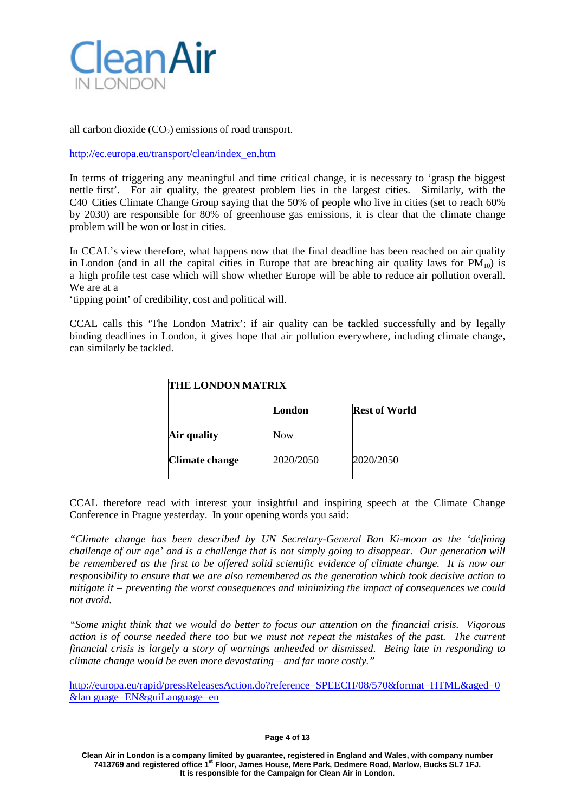

all carbon dioxide  $(CO<sub>2</sub>)$  emissions of road transport.

[http://ec.europa.eu/transport/clean/index\\_en.htm](http://ec.europa.eu/transport/clean/index_en.htm)

In terms of triggering any meaningful and time critical change, it is necessary to 'grasp the biggest nettle first'. For air quality, the greatest problem lies in the largest cities. Similarly, with the C40 Cities Climate Change Group saying that the 50% of people who live in cities (set to reach 60% by 2030) are responsible for 80% of greenhouse gas emissions, it is clear that the climate change problem will be won or lost in cities.

In CCAL's view therefore, what happens now that the final deadline has been reached on air quality in London (and in all the capital cities in Europe that are breaching air quality laws for  $PM_{10}$ ) is a high profile test case which will show whether Europe will be able to reduce air pollution overall. We are at a

'tipping point' of credibility, cost and political will.

CCAL calls this 'The London Matrix': if air quality can be tackled successfully and by legally binding deadlines in London, it gives hope that air pollution everywhere, including climate change, can similarly be tackled.

| <b>THE LONDON MATRIX</b> |                      |
|--------------------------|----------------------|
| London                   | <b>Rest of World</b> |
| Now                      |                      |
| 2020/2050                | 2020/2050            |
|                          |                      |

CCAL therefore read with interest your insightful and inspiring speech at the Climate Change Conference in Prague yesterday. In your opening words you said:

*"Climate change has been described by UN Secretary-General Ban Ki-moon as the 'defining challenge of our age' and is a challenge that is not simply going to disappear. Our generation will be remembered as the first to be offered solid scientific evidence of climate change. It is now our responsibility to ensure that we are also remembered as the generation which took decisive action to mitigate it – preventing the worst consequences and minimizing the impact of consequences we could not avoid.*

*"Some might think that we would do better to focus our attention on the financial crisis. Vigorous action is of course needed there too but we must not repeat the mistakes of the past. The current financial crisis is largely a story of warnings unheeded or dismissed. Being late in responding to climate change would be even more devastating – and far more costly."*

[http://europa.eu/rapid/pressReleasesAction.do?reference=SPEECH/08/570&format=HTML&aged=0](http://europa.eu/rapid/pressReleasesAction.do?reference=SPEECH/08/570&format=HTML&aged=0&lan%20guage=EN&guiLanguage=en) &lan [guage=EN&guiLanguage=en](http://europa.eu/rapid/pressReleasesAction.do?reference=SPEECH/08/570&format=HTML&aged=0&lan%20guage=EN&guiLanguage=en)

#### **Page 4 of 13**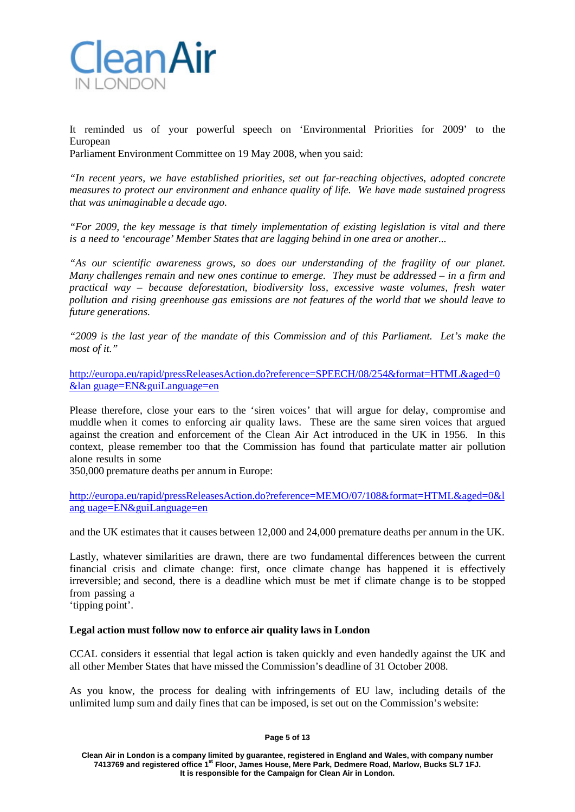

It reminded us of your powerful speech on 'Environmental Priorities for 2009' to the European Parliament Environment Committee on 19 May 2008, when you said:

*"In recent years, we have established priorities, set out far-reaching objectives, adopted concrete measures to protect our environment and enhance quality of life. We have made sustained progress that was unimaginable a decade ago.*

*"For 2009, the key message is that timely implementation of existing legislation is vital and there is a need to 'encourage' Member States that are lagging behind in one area or another...*

*"As our scientific awareness grows, so does our understanding of the fragility of our planet. Many challenges remain and new ones continue to emerge. They must be addressed – in a firm and practical way – because deforestation, biodiversity loss, excessive waste volumes, fresh water pollution and rising greenhouse gas emissions are not features of the world that we should leave to future generations.*

*"2009 is the last year of the mandate of this Commission and of this Parliament. Let's make the most of it."*

[http://europa.eu/rapid/pressReleasesAction.do?reference=SPEECH/08/254&format=HTML&aged=0](http://europa.eu/rapid/pressReleasesAction.do?reference=SPEECH/08/254&format=HTML&aged=0&lan%20guage=EN&guiLanguage=en) &lan [guage=EN&guiLanguage=en](http://europa.eu/rapid/pressReleasesAction.do?reference=SPEECH/08/254&format=HTML&aged=0&lan%20guage=EN&guiLanguage=en)

Please therefore, close your ears to the 'siren voices' that will argue for delay, compromise and muddle when it comes to enforcing air quality laws. These are the same siren voices that argued against the creation and enforcement of the Clean Air Act introduced in the UK in 1956. In this context, please remember too that the Commission has found that particulate matter air pollution alone results in some

350,000 premature deaths per annum in Europe:

[http://europa.eu/rapid/pressReleasesAction.do?reference=MEMO/07/108&format=HTML&aged=0&l](http://europa.eu/rapid/pressReleasesAction.do?reference=MEMO/07/108&format=HTML&aged=0&lang%20uage=EN&guiLanguage=en) ang [uage=EN&guiLanguage=en](http://europa.eu/rapid/pressReleasesAction.do?reference=MEMO/07/108&format=HTML&aged=0&lang%20uage=EN&guiLanguage=en)

and the UK estimates that it causes between 12,000 and 24,000 premature deaths per annum in the UK.

Lastly, whatever similarities are drawn, there are two fundamental differences between the current financial crisis and climate change: first, once climate change has happened it is effectively irreversible; and second, there is a deadline which must be met if climate change is to be stopped from passing a

'tipping point'.

### **Legal action must follow now to enforce air quality laws in London**

CCAL considers it essential that legal action is taken quickly and even handedly against the UK and all other Member States that have missed the Commission's deadline of 31 October 2008.

As you know, the process for dealing with infringements of EU law, including details of the unlimited lump sum and daily fines that can be imposed, is set out on the Commission's website:

**Page 5 of 13**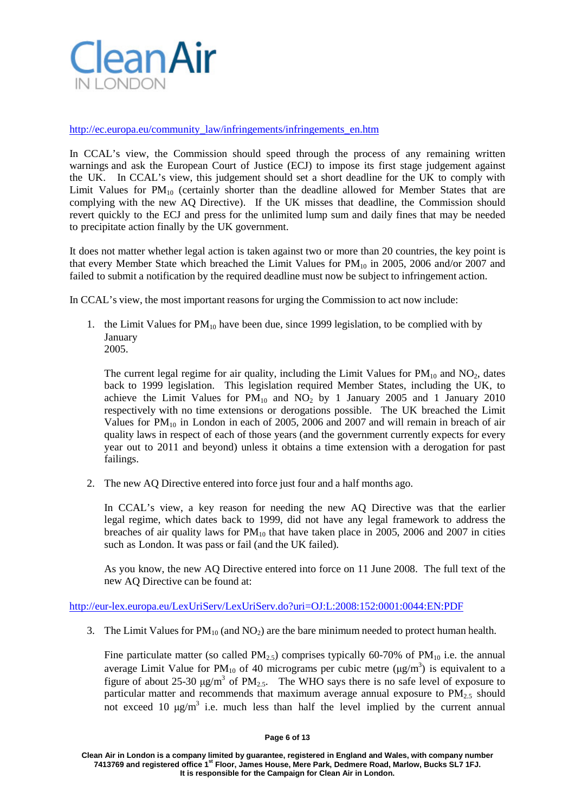

[http://ec.europa.eu/community\\_law/infringements/infringements\\_en.htm](http://ec.europa.eu/community_law/infringements/infringements_en.htm)

In CCAL's view, the Commission should speed through the process of any remaining written warnings and ask the European Court of Justice (ECJ) to impose its first stage judgement against the UK. In CCAL's view, this judgement should set a short deadline for the UK to comply with Limit Values for  $PM_{10}$  (certainly shorter than the deadline allowed for Member States that are complying with the new AQ Directive). If the UK misses that deadline, the Commission should revert quickly to the ECJ and press for the unlimited lump sum and daily fines that may be needed to precipitate action finally by the UK government.

It does not matter whether legal action is taken against two or more than 20 countries, the key point is that every Member State which breached the Limit Values for  $PM_{10}$  in 2005, 2006 and/or 2007 and failed to submit a notification by the required deadline must now be subject to infringement action.

In CCAL's view, the most important reasons for urging the Commission to act now include:

1. the Limit Values for  $PM_{10}$  have been due, since 1999 legislation, to be complied with by January 2005.

The current legal regime for air quality, including the Limit Values for  $PM_{10}$  and  $NO_2$ , dates back to 1999 legislation. This legislation required Member States, including the UK, to achieve the Limit Values for  $PM_{10}$  and  $NO_2$  by 1 January 2005 and 1 January 2010 respectively with no time extensions or derogations possible. The UK breached the Limit Values for  $PM_{10}$  in London in each of 2005, 2006 and 2007 and will remain in breach of air quality laws in respect of each of those years (and the government currently expects for every year out to 2011 and beyond) unless it obtains a time extension with a derogation for past failings.

2. The new AQ Directive entered into force just four and a half months ago.

In CCAL's view, a key reason for needing the new AQ Directive was that the earlier legal regime, which dates back to 1999, did not have any legal framework to address the breaches of air quality laws for  $PM_{10}$  that have taken place in 2005, 2006 and 2007 in cities such as London. It was pass or fail (and the UK failed).

As you know, the new AQ Directive entered into force on 11 June 2008. The full text of the new AQ Directive can be found at:

[http://eur-lex.europa.eu/LexUriServ/LexUriServ.do?uri=OJ:L:2008:152:0001:0044:EN:PDF](http://eur-lex.europa.eu/LexUriServ/LexUriServ.do?uri=OJ%3AL%3A2008%3A152%3A0001%3A0044%3AEN%3APDF)

3. The Limit Values for  $PM_{10}$  (and  $NO<sub>2</sub>$ ) are the bare minimum needed to protect human health.

Fine particulate matter (so called  $PM_{2.5}$ ) comprises typically 60-70% of  $PM_{10}$  i.e. the annual average Limit Value for PM<sub>10</sub> of 40 micrograms per cubic metre ( $\mu$ g/m<sup>3</sup>) is equivalent to a figure of about 25-30  $\mu$ g/m<sup>3</sup> of PM<sub>2.5</sub>. The WHO says there is no safe level of exposure to particular matter and recommends that maximum average annual exposure to  $PM_{2.5}$  should not exceed 10  $\mu\text{g/m}^3$  i.e. much less than half the level implied by the current annual

**Clean Air in London is a company limited by guarantee, registered in England and Wales, with company number 7413769 and registered office 1st Floor, James House, Mere Park, Dedmere Road, Marlow, Bucks SL7 1FJ. It is responsible for the Campaign for Clean Air in London.**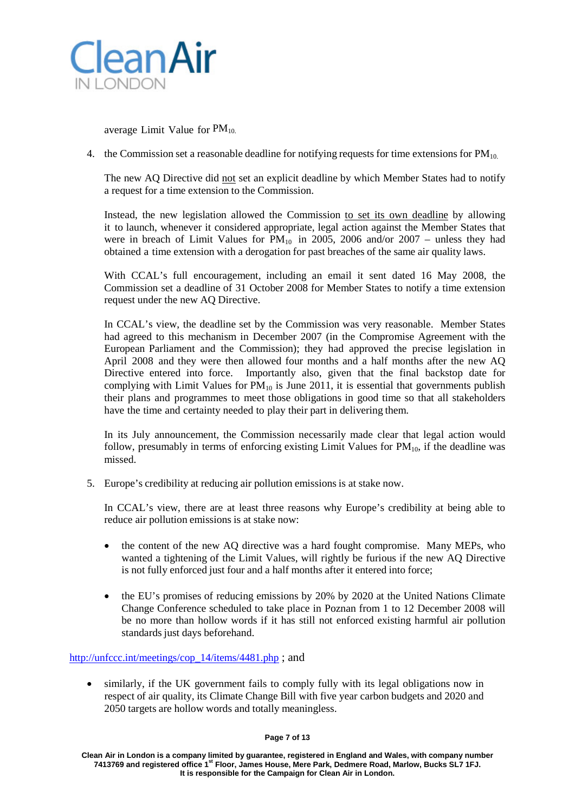

average Limit Value for PM<sub>10.</sub>

4. the Commission set a reasonable deadline for notifying requests for time extensions for  $PM_{10}$ .

The new AQ Directive did not set an explicit deadline by which Member States had to notify a request for a time extension to the Commission.

Instead, the new legislation allowed the Commission to set its own deadline by allowing it to launch, whenever it considered appropriate, legal action against the Member States that were in breach of Limit Values for  $PM_{10}$  in 2005, 2006 and/or 2007 – unless they had obtained a time extension with a derogation for past breaches of the same air quality laws.

With CCAL's full encouragement, including an email it sent dated 16 May 2008, the Commission set a deadline of 31 October 2008 for Member States to notify a time extension request under the new AQ Directive.

In CCAL's view, the deadline set by the Commission was very reasonable. Member States had agreed to this mechanism in December 2007 (in the Compromise Agreement with the European Parliament and the Commission); they had approved the precise legislation in April 2008 and they were then allowed four months and a half months after the new AQ Directive entered into force. Importantly also, given that the final backstop date for complying with Limit Values for  $PM_{10}$  is June 2011, it is essential that governments publish their plans and programmes to meet those obligations in good time so that all stakeholders have the time and certainty needed to play their part in delivering them.

In its July announcement, the Commission necessarily made clear that legal action would follow, presumably in terms of enforcing existing Limit Values for  $PM_{10}$ , if the deadline was missed.

5. Europe's credibility at reducing air pollution emissions is at stake now.

In CCAL's view, there are at least three reasons why Europe's credibility at being able to reduce air pollution emissions is at stake now:

- the content of the new AQ directive was a hard fought compromise. Many MEPs, who wanted a tightening of the Limit Values, will rightly be furious if the new AQ Directive is not fully enforced just four and a half months after it entered into force;
- the EU's promises of reducing emissions by 20% by 2020 at the United Nations Climate Change Conference scheduled to take place in Poznan from 1 to 12 December 2008 will be no more than hollow words if it has still not enforced existing harmful air pollution standards just days beforehand.

[http://unfccc.int/meetings/cop\\_14/items/4481.php](http://unfccc.int/meetings/cop_14/items/4481.php) ; and

• similarly, if the UK government fails to comply fully with its legal obligations now in respect of air quality, its Climate Change Bill with five year carbon budgets and 2020 and 2050 targets are hollow words and totally meaningless.

### **Page 7 of 13**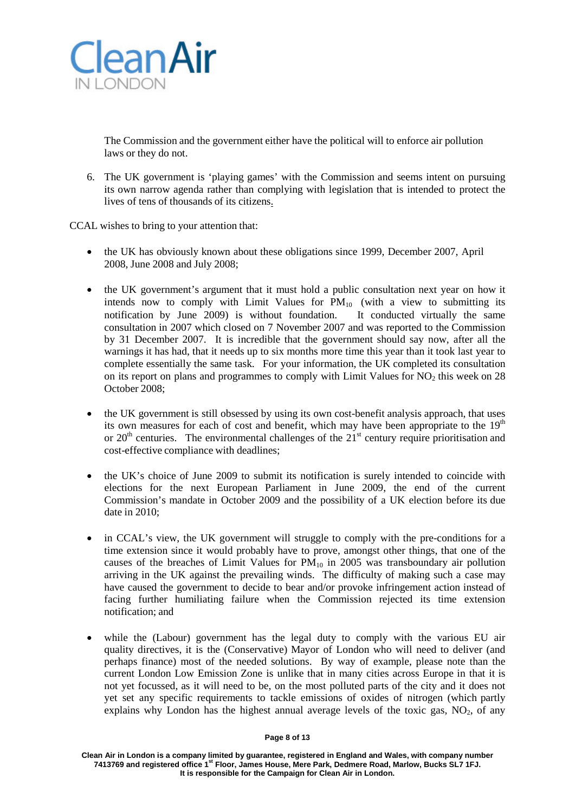

The Commission and the government either have the political will to enforce air pollution laws or they do not.

6. The UK government is 'playing games' with the Commission and seems intent on pursuing its own narrow agenda rather than complying with legislation that is intended to protect the lives of tens of thousands of its citizens.

CCAL wishes to bring to your attention that:

- the UK has obviously known about these obligations since 1999, December 2007, April 2008, June 2008 and July 2008;
- the UK government's argument that it must hold a public consultation next year on how it intends now to comply with Limit Values for  $PM_{10}$  (with a view to submitting its notification by June 2009) is without foundation. It conducted virtually the same consultation in 2007 which closed on 7 November 2007 and was reported to the Commission by 31 December 2007. It is incredible that the government should say now, after all the warnings it has had, that it needs up to six months more time this year than it took last year to complete essentially the same task. For your information, the UK completed its consultation on its report on plans and programmes to comply with Limit Values for  $NO<sub>2</sub>$  this week on 28 October 2008;
- the UK government is still obsessed by using its own cost-benefit analysis approach, that uses its own measures for each of cost and benefit, which may have been appropriate to the  $19<sup>th</sup>$ or  $20<sup>th</sup>$  centuries. The environmental challenges of the  $21<sup>st</sup>$  century require prioritisation and cost-effective compliance with deadlines;
- the UK's choice of June 2009 to submit its notification is surely intended to coincide with elections for the next European Parliament in June 2009, the end of the current Commission's mandate in October 2009 and the possibility of a UK election before its due date in 2010;
- in CCAL's view, the UK government will struggle to comply with the pre-conditions for a time extension since it would probably have to prove, amongst other things, that one of the causes of the breaches of Limit Values for  $PM_{10}$  in 2005 was transboundary air pollution arriving in the UK against the prevailing winds. The difficulty of making such a case may have caused the government to decide to bear and/or provoke infringement action instead of facing further humiliating failure when the Commission rejected its time extension notification; and
- while the (Labour) government has the legal duty to comply with the various EU air quality directives, it is the (Conservative) Mayor of London who will need to deliver (and perhaps finance) most of the needed solutions. By way of example, please note than the current London Low Emission Zone is unlike that in many cities across Europe in that it is not yet focussed, as it will need to be, on the most polluted parts of the city and it does not yet set any specific requirements to tackle emissions of oxides of nitrogen (which partly explains why London has the highest annual average levels of the toxic gas,  $NO<sub>2</sub>$ , of any

### **Page 8 of 13**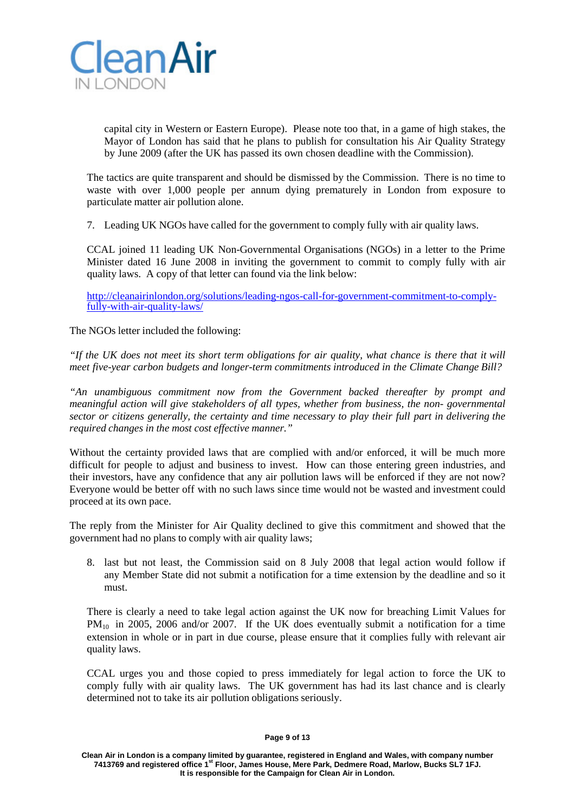

capital city in Western or Eastern Europe). Please note too that, in a game of high stakes, the Mayor of London has said that he plans to publish for consultation his Air Quality Strategy by June 2009 (after the UK has passed its own chosen deadline with the Commission).

The tactics are quite transparent and should be dismissed by the Commission. There is no time to waste with over 1,000 people per annum dying prematurely in London from exposure to particulate matter air pollution alone.

7. Leading UK NGOs have called for the government to comply fully with air quality laws.

CCAL joined 11 leading UK Non-Governmental Organisations (NGOs) in a letter to the Prime Minister dated 16 June 2008 in inviting the government to commit to comply fully with air quality laws. A copy of that letter can found via the link below:

[http://cleanairinlondon.org/solutions/leading-ngos-call-for-government-commitment-to-comply-](http://cleanairinlondon.org/solutions/leading-ngos-call-for-government-commitment-to-comply-fully-with-air-quality-laws/) [fully-with-air-quality-laws/](http://cleanairinlondon.org/solutions/leading-ngos-call-for-government-commitment-to-comply-fully-with-air-quality-laws/)

The NGOs letter included the following:

"If the UK does not meet its short term obligations for air quality, what chance is there that it will *meet five-year carbon budgets and longer-term commitments introduced in the Climate Change Bill?*

*"An unambiguous commitment now from the Government backed thereafter by prompt and meaningful action will give stakeholders of all types, whether from business, the non- governmental sector or citizens generally, the certainty and time necessary to play their full part in delivering the required changes in the most cost effective manner."*

Without the certainty provided laws that are complied with and/or enforced, it will be much more difficult for people to adjust and business to invest. How can those entering green industries, and their investors, have any confidence that any air pollution laws will be enforced if they are not now? Everyone would be better off with no such laws since time would not be wasted and investment could proceed at its own pace.

The reply from the Minister for Air Quality declined to give this commitment and showed that the government had no plans to comply with air quality laws;

8. last but not least, the Commission said on 8 July 2008 that legal action would follow if any Member State did not submit a notification for a time extension by the deadline and so it must.

There is clearly a need to take legal action against the UK now for breaching Limit Values for  $PM_{10}$  in 2005, 2006 and/or 2007. If the UK does eventually submit a notification for a time extension in whole or in part in due course, please ensure that it complies fully with relevant air quality laws.

CCAL urges you and those copied to press immediately for legal action to force the UK to comply fully with air quality laws. The UK government has had its last chance and is clearly determined not to take its air pollution obligations seriously.

#### **Page 9 of 13**

**Clean Air in London is a company limited by guarantee, registered in England and Wales, with company number 7413769 and registered office 1st Floor, James House, Mere Park, Dedmere Road, Marlow, Bucks SL7 1FJ. It is responsible for the Campaign for Clean Air in London.**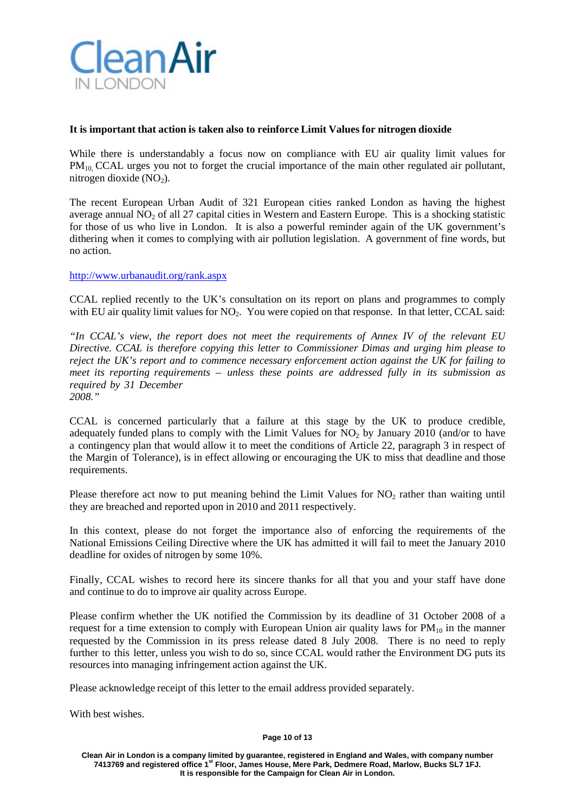

## **It is important that action is taken also to reinforce Limit Values for nitrogen dioxide**

While there is understandably a focus now on compliance with EU air quality limit values for PM<sub>10</sub>, CCAL urges you not to forget the crucial importance of the main other regulated air pollutant, nitrogen dioxide  $(NO<sub>2</sub>)$ .

The recent European Urban Audit of 321 European cities ranked London as having the highest average annual  $NO<sub>2</sub>$  of all 27 capital cities in Western and Eastern Europe. This is a shocking statistic for those of us who live in London. It is also a powerful reminder again of the UK government's dithering when it comes to complying with air pollution legislation. A government of fine words, but no action.

<http://www.urbanaudit.org/rank.aspx>

CCAL replied recently to the UK's consultation on its report on plans and programmes to comply with EU air quality limit values for  $NO<sub>2</sub>$ . You were copied on that response. In that letter, CCAL said:

*"In CCAL's view, the report does not meet the requirements of Annex IV of the relevant EU Directive. CCAL is therefore copying this letter to Commissioner Dimas and urging him please to reject the UK's report and to commence necessary enforcement action against the UK for failing to meet its reporting requirements – unless these points are addressed fully in its submission as required by 31 December 2008."*

CCAL is concerned particularly that a failure at this stage by the UK to produce credible, adequately funded plans to comply with the Limit Values for  $NO<sub>2</sub>$  by January 2010 (and/or to have a contingency plan that would allow it to meet the conditions of Article 22, paragraph 3 in respect of the Margin of Tolerance), is in effect allowing or encouraging the UK to miss that deadline and those requirements.

Please therefore act now to put meaning behind the Limit Values for  $NO<sub>2</sub>$  rather than waiting until they are breached and reported upon in 2010 and 2011 respectively.

In this context, please do not forget the importance also of enforcing the requirements of the National Emissions Ceiling Directive where the UK has admitted it will fail to meet the January 2010 deadline for oxides of nitrogen by some 10%.

Finally, CCAL wishes to record here its sincere thanks for all that you and your staff have done and continue to do to improve air quality across Europe.

Please confirm whether the UK notified the Commission by its deadline of 31 October 2008 of a request for a time extension to comply with European Union air quality laws for  $PM_{10}$  in the manner requested by the Commission in its press release dated 8 July 2008. There is no need to reply further to this letter, unless you wish to do so, since CCAL would rather the Environment DG puts its resources into managing infringement action against the UK.

Please acknowledge receipt of this letter to the email address provided separately.

With best wishes.

### **Page 10 of 13**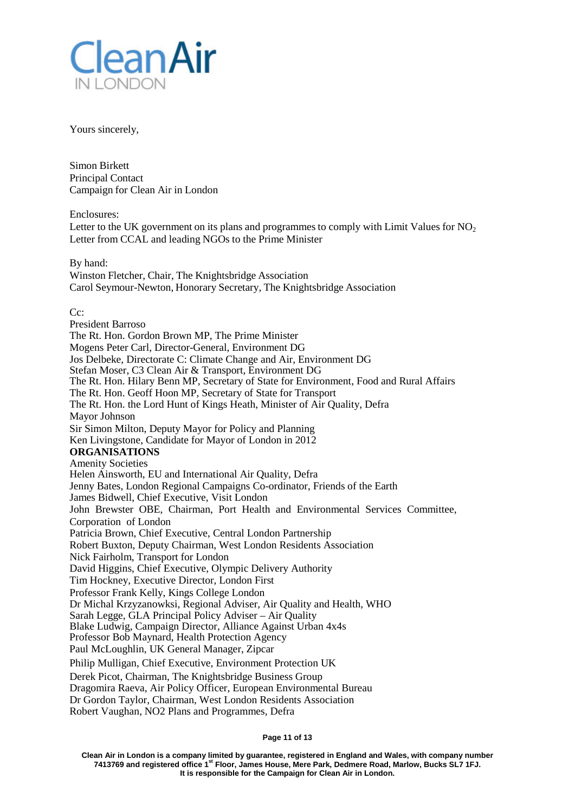

Yours sincerely,

Simon Birkett Principal Contact Campaign for Clean Air in London

Enclosures:

Letter to the UK government on its plans and programmes to comply with Limit Values for  $NO<sub>2</sub>$ Letter from CCAL and leading NGOs to the Prime Minister

By hand: Winston Fletcher, Chair, The Knightsbridge Association Carol Seymour-Newton, Honorary Secretary, The Knightsbridge Association

C<sub>c</sub>:

President Barroso The Rt. Hon. Gordon Brown MP, The Prime Minister Mogens Peter Carl, Director-General, Environment DG Jos Delbeke, Directorate C: Climate Change and Air, Environment DG Stefan Moser, C3 Clean Air & Transport, Environment DG The Rt. Hon. Hilary Benn MP, Secretary of State for Environment, Food and Rural Affairs The Rt. Hon. Geoff Hoon MP, Secretary of State for Transport The Rt. Hon. the Lord Hunt of Kings Heath, Minister of Air Quality, Defra Mayor Johnson Sir Simon Milton, Deputy Mayor for Policy and Planning Ken Livingstone, Candidate for Mayor of London in 2012 **ORGANISATIONS** Amenity Societies Helen Ainsworth, EU and International Air Quality, Defra Jenny Bates, London Regional Campaigns Co-ordinator, Friends of the Earth James Bidwell, Chief Executive, Visit London John Brewster OBE, Chairman, Port Health and Environmental Services Committee, Corporation of London Patricia Brown, Chief Executive, Central London Partnership Robert Buxton, Deputy Chairman, West London Residents Association Nick Fairholm, Transport for London David Higgins, Chief Executive, Olympic Delivery Authority Tim Hockney, Executive Director, London First Professor Frank Kelly, Kings College London Dr Michal Krzyzanowksi, Regional Adviser, Air Quality and Health, WHO Sarah Legge, GLA Principal Policy Adviser – Air Quality Blake Ludwig, Campaign Director, Alliance Against Urban 4x4s Professor Bob Maynard, Health Protection Agency Paul McLoughlin, UK General Manager, Zipcar Philip Mulligan, Chief Executive, Environment Protection UK Derek Picot, Chairman, The Knightsbridge Business Group Dragomira Raeva, Air Policy Officer, European Environmental Bureau Dr Gordon Taylor, Chairman, West London Residents Association Robert Vaughan, NO2 Plans and Programmes, Defra

#### **Page 11 of 13**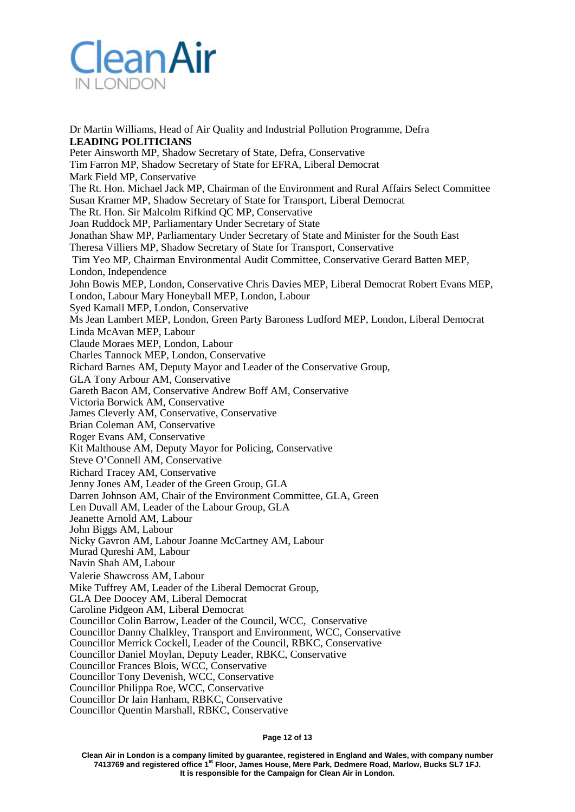

Dr Martin Williams, Head of Air Quality and Industrial Pollution Programme, Defra **LEADING POLITICIANS** Peter Ainsworth MP, Shadow Secretary of State, Defra, Conservative Tim Farron MP, Shadow Secretary of State for EFRA, Liberal Democrat Mark Field MP, Conservative The Rt. Hon. Michael Jack MP, Chairman of the Environment and Rural Affairs Select Committee Susan Kramer MP, Shadow Secretary of State for Transport, Liberal Democrat The Rt. Hon. Sir Malcolm Rifkind QC MP, Conservative Joan Ruddock MP, Parliamentary Under Secretary of State Jonathan Shaw MP, Parliamentary Under Secretary of State and Minister for the South East Theresa Villiers MP, Shadow Secretary of State for Transport, Conservative Tim Yeo MP, Chairman Environmental Audit Committee, Conservative Gerard Batten MEP, London, Independence John Bowis MEP, London, Conservative Chris Davies MEP, Liberal Democrat Robert Evans MEP, London, Labour Mary Honeyball MEP, London, Labour Syed Kamall MEP, London, Conservative Ms Jean Lambert MEP, London, Green Party Baroness Ludford MEP, London, Liberal Democrat Linda McAvan MEP, Labour Claude Moraes MEP, London, Labour Charles Tannock MEP, London, Conservative Richard Barnes AM, Deputy Mayor and Leader of the Conservative Group, GLA Tony Arbour AM, Conservative Gareth Bacon AM, Conservative Andrew Boff AM, Conservative Victoria Borwick AM, Conservative James Cleverly AM, Conservative, Conservative Brian Coleman AM, Conservative Roger Evans AM, Conservative Kit Malthouse AM, Deputy Mayor for Policing, Conservative Steve O'Connell AM, Conservative Richard Tracey AM, Conservative Jenny Jones AM, Leader of the Green Group, GLA Darren Johnson AM, Chair of the Environment Committee, GLA, Green Len Duvall AM, Leader of the Labour Group, GLA Jeanette Arnold AM, Labour John Biggs AM, Labour Nicky Gavron AM, Labour Joanne McCartney AM, Labour Murad Qureshi AM, Labour Navin Shah AM, Labour Valerie Shawcross AM, Labour Mike Tuffrey AM, Leader of the Liberal Democrat Group, GLA Dee Doocey AM, Liberal Democrat Caroline Pidgeon AM, Liberal Democrat Councillor Colin Barrow, Leader of the Council, WCC, Conservative Councillor Danny Chalkley, Transport and Environment, WCC, Conservative Councillor Merrick Cockell, Leader of the Council, RBKC, Conservative Councillor Daniel Moylan, Deputy Leader, RBKC, Conservative Councillor Frances Blois, WCC, Conservative Councillor Tony Devenish, WCC, Conservative Councillor Philippa Roe, WCC, Conservative Councillor Dr Iain Hanham, RBKC, Conservative Councillor Quentin Marshall, RBKC, Conservative

**Page 12 of 13**